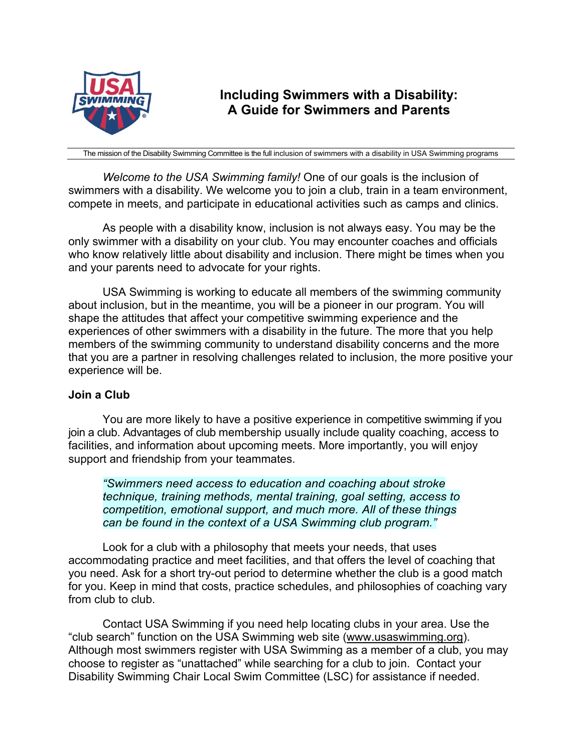

# **Including Swimmers with a Disability: A Guide for Swimmers and Parents**

The mission of the Disability Swimming Committee is the full inclusion of swimmers with a disability in USA Swimming programs

*Welcome to the USA Swimming family!* One of our goals is the inclusion of swimmers with a disability. We welcome you to join a club, train in a team environment, compete in meets, and participate in educational activities such as camps and clinics.

As people with a disability know, inclusion is not always easy. You may be the only swimmer with a disability on your club. You may encounter coaches and officials who know relatively little about disability and inclusion. There might be times when you and your parents need to advocate for your rights.

USA Swimming is working to educate all members of the swimming community about inclusion, but in the meantime, you will be a pioneer in our program. You will shape the attitudes that affect your competitive swimming experience and the experiences of other swimmers with a disability in the future. The more that you help members of the swimming community to understand disability concerns and the more that you are a partner in resolving challenges related to inclusion, the more positive your experience will be.

# **Join a Club**

You are more likely to have a positive experience in competitive swimming if you join a club. Advantages of club membership usually include quality coaching, access to facilities, and information about upcoming meets. More importantly, you will enjoy support and friendship from your teammates.

*"Swimmers need access to education and coaching about stroke technique, training methods, mental training, goal setting, access to competition, emotional support, and much more. All of these things can be found in the context of a USA Swimming club program."* 

Look for a club with a philosophy that meets your needs, that uses accommodating practice and meet facilities, and that offers the level of coaching that you need. Ask for a short try-out period to determine whether the club is a good match for you. Keep in mind that costs, practice schedules, and philosophies of coaching vary from club to club.

Contact USA Swimming if you need help locating clubs in your area. Use the "club search" function on the USA Swimming web site (www.usaswimming.org). Although most swimmers register with USA Swimming as a member of a club, you may choose to register as "unattached" while searching for a club to join. Contact your Disability Swimming Chair Local Swim Committee (LSC) for assistance if needed.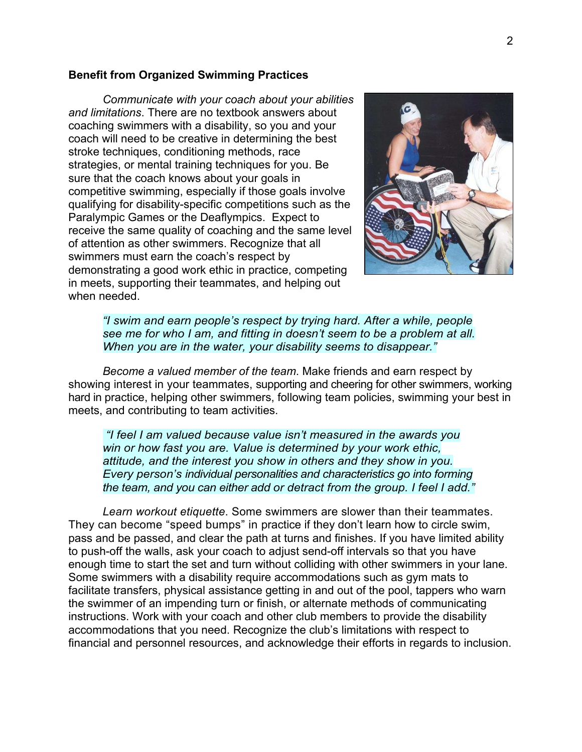#### **Benefit from Organized Swimming Practices**

*Communicate with your coach about your abilities and limitations*. There are no textbook answers about coaching swimmers with a disability, so you and your coach will need to be creative in determining the best stroke techniques, conditioning methods, race strategies, or mental training techniques for you. Be sure that the coach knows about your goals in competitive swimming, especially if those goals involve qualifying for disability-specific competitions such as the Paralympic Games or the Deaflympics. Expect to receive the same quality of coaching and the same level of attention as other swimmers. Recognize that all swimmers must earn the coach's respect by demonstrating a good work ethic in practice, competing in meets, supporting their teammates, and helping out when needed.



# *"I swim and earn people's respect by trying hard. After a while, people see me for who I am, and fitting in doesn't seem to be a problem at all. When you are in the water, your disability seems to disappear."*

*Become a valued member of the team*. Make friends and earn respect by showing interest in your teammates, supporting and cheering for other swimmers, working hard in practice, helping other swimmers, following team policies, swimming your best in meets, and contributing to team activities.

 *"I feel I am valued because value isn't measured in the awards you win or how fast you are. Value is determined by your work ethic, attitude, and the interest you show in others and they show in you. Every person's individual personalities and characteristics go into forming the team, and you can either add or detract from the group. I feel I add."* 

*Learn workout etiquette*. Some swimmers are slower than their teammates. They can become "speed bumps" in practice if they don't learn how to circle swim, pass and be passed, and clear the path at turns and finishes. If you have limited ability to push-off the walls, ask your coach to adjust send-off intervals so that you have enough time to start the set and turn without colliding with other swimmers in your lane. Some swimmers with a disability require accommodations such as gym mats to facilitate transfers, physical assistance getting in and out of the pool, tappers who warn the swimmer of an impending turn or finish, or alternate methods of communicating instructions. Work with your coach and other club members to provide the disability accommodations that you need. Recognize the club's limitations with respect to financial and personnel resources, and acknowledge their efforts in regards to inclusion.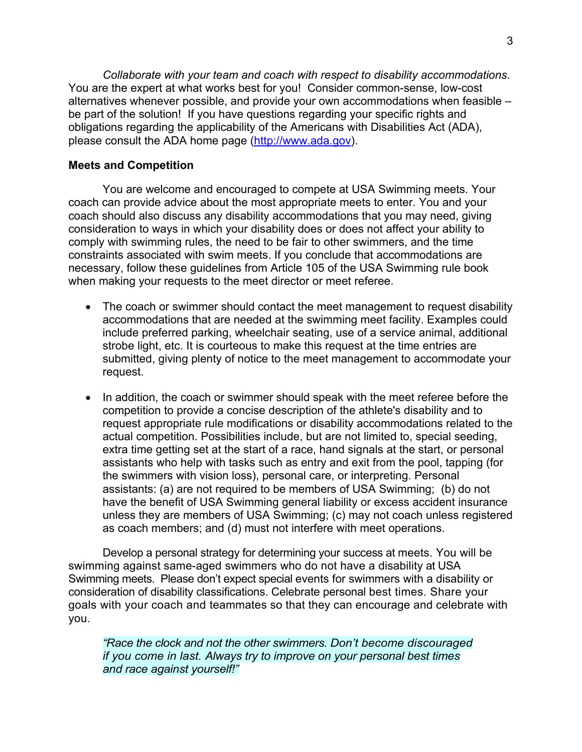*Collaborate with your team and coach with respect to disability accommodations*. You are the expert at what works best for you! Consider common-sense, low-cost alternatives whenever possible, and provide your own accommodations when feasible – be part of the solution! If you have questions regarding your specific rights and obligations regarding the applicability of the Americans with Disabilities Act (ADA), please consult the ADA home page (http://www.ada.gov).

#### **Meets and Competition**

You are welcome and encouraged to compete at USA Swimming meets. Your coach can provide advice about the most appropriate meets to enter. You and your coach should also discuss any disability accommodations that you may need, giving consideration to ways in which your disability does or does not affect your ability to comply with swimming rules, the need to be fair to other swimmers, and the time constraints associated with swim meets. If you conclude that accommodations are necessary, follow these guidelines from Article 105 of the USA Swimming rule book when making your requests to the meet director or meet referee.

- The coach or swimmer should contact the meet management to request disability accommodations that are needed at the swimming meet facility. Examples could include preferred parking, wheelchair seating, use of a service animal, additional strobe light, etc. It is courteous to make this request at the time entries are submitted, giving plenty of notice to the meet management to accommodate your request.
- In addition, the coach or swimmer should speak with the meet referee before the competition to provide a concise description of the athlete's disability and to request appropriate rule modifications or disability accommodations related to the actual competition. Possibilities include, but are not limited to, special seeding, extra time getting set at the start of a race, hand signals at the start, or personal assistants who help with tasks such as entry and exit from the pool, tapping (for the swimmers with vision loss), personal care, or interpreting. Personal assistants: (a) are not required to be members of USA Swimming; (b) do not have the benefit of USA Swimming general liability or excess accident insurance unless they are members of USA Swimming; (c) may not coach unless registered as coach members; and (d) must not interfere with meet operations.

Develop a personal strategy for determining your success at meets. You will be swimming against same-aged swimmers who do not have a disability at USA Swimming meets. Please don't expect special events for swimmers with a disability or consideration of disability classifications. Celebrate personal best times. Share your goals with your coach and teammates so that they can encourage and celebrate with you.

*"Race the clock and not the other swimmers. Don't become discouraged if you come in last. Always try to improve on your personal best times and race against yourself!"*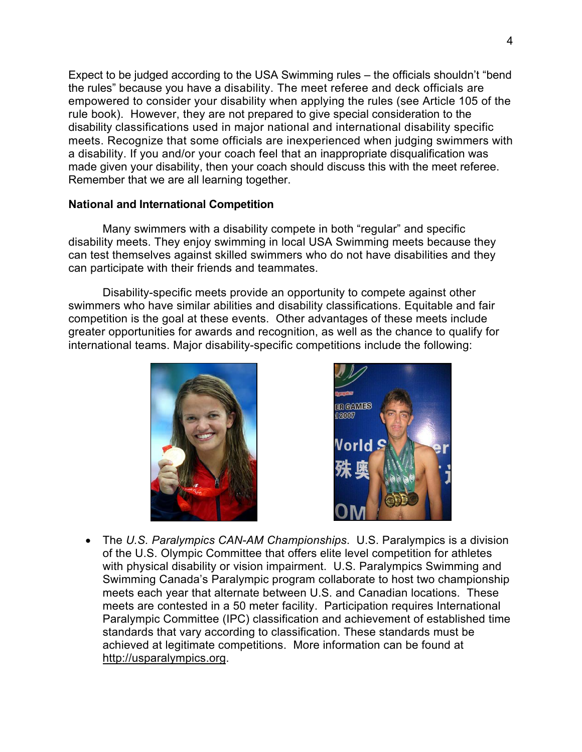Expect to be judged according to the USA Swimming rules – the officials shouldn't "bend the rules" because you have a disability. The meet referee and deck officials are empowered to consider your disability when applying the rules (see Article 105 of the rule book). However, they are not prepared to give special consideration to the disability classifications used in major national and international disability specific meets. Recognize that some officials are inexperienced when judging swimmers with a disability. If you and/or your coach feel that an inappropriate disqualification was made given your disability, then your coach should discuss this with the meet referee. Remember that we are all learning together.

# **National and International Competition**

Many swimmers with a disability compete in both "regular" and specific disability meets. They enjoy swimming in local USA Swimming meets because they can test themselves against skilled swimmers who do not have disabilities and they can participate with their friends and teammates.

Disability-specific meets provide an opportunity to compete against other swimmers who have similar abilities and disability classifications. Equitable and fair competition is the goal at these events. Other advantages of these meets include greater opportunities for awards and recognition, as well as the chance to qualify for international teams. Major disability-specific competitions include the following:





• The *U.S. Paralympics CAN-AM Championships*. U.S. Paralympics is a division of the U.S. Olympic Committee that offers elite level competition for athletes with physical disability or vision impairment. U.S. Paralympics Swimming and Swimming Canada's Paralympic program collaborate to host two championship meets each year that alternate between U.S. and Canadian locations. These meets are contested in a 50 meter facility. Participation requires International Paralympic Committee (IPC) classification and achievement of established time standards that vary according to classification. These standards must be achieved at legitimate competitions. More information can be found at http://usparalympics.org.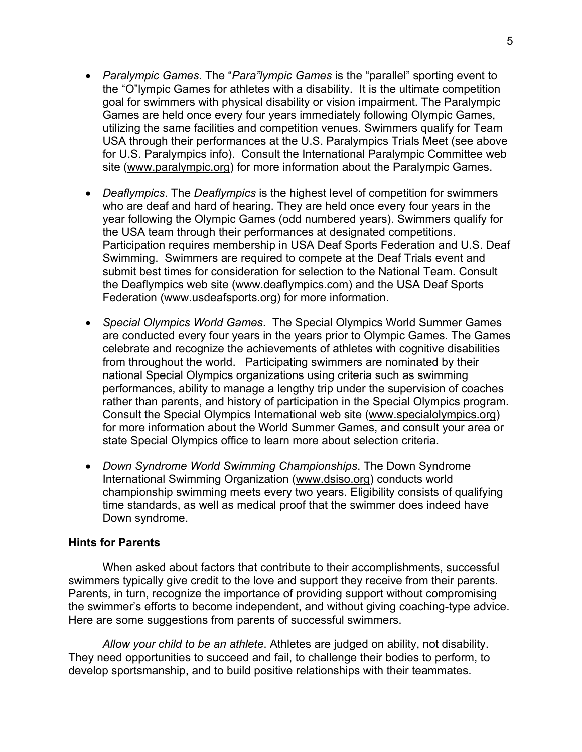- *Paralympic Games*. The "*Para"lympic Games* is the "parallel" sporting event to the "O"lympic Games for athletes with a disability. It is the ultimate competition goal for swimmers with physical disability or vision impairment. The Paralympic Games are held once every four years immediately following Olympic Games, utilizing the same facilities and competition venues. Swimmers qualify for Team USA through their performances at the U.S. Paralympics Trials Meet (see above for U.S. Paralympics info). Consult the International Paralympic Committee web site (www.paralympic.org) for more information about the Paralympic Games.
- *Deaflympics*. The *Deaflympics* is the highest level of competition for swimmers who are deaf and hard of hearing. They are held once every four years in the year following the Olympic Games (odd numbered years). Swimmers qualify for the USA team through their performances at designated competitions. Participation requires membership in USA Deaf Sports Federation and U.S. Deaf Swimming. Swimmers are required to compete at the Deaf Trials event and submit best times for consideration for selection to the National Team. Consult the Deaflympics web site (www.deaflympics.com) and the USA Deaf Sports Federation (www.usdeafsports.org) for more information.
- *Special Olympics World Games*. The Special Olympics World Summer Games are conducted every four years in the years prior to Olympic Games. The Games celebrate and recognize the achievements of athletes with cognitive disabilities from throughout the world. Participating swimmers are nominated by their national Special Olympics organizations using criteria such as swimming performances, ability to manage a lengthy trip under the supervision of coaches rather than parents, and history of participation in the Special Olympics program. Consult the Special Olympics International web site (www.specialolympics.org) for more information about the World Summer Games, and consult your area or state Special Olympics office to learn more about selection criteria.
- *Down Syndrome World Swimming Championships*. The Down Syndrome International Swimming Organization (www.dsiso.org) conducts world championship swimming meets every two years. Eligibility consists of qualifying time standards, as well as medical proof that the swimmer does indeed have Down syndrome.

## **Hints for Parents**

When asked about factors that contribute to their accomplishments, successful swimmers typically give credit to the love and support they receive from their parents. Parents, in turn, recognize the importance of providing support without compromising the swimmer's efforts to become independent, and without giving coaching-type advice. Here are some suggestions from parents of successful swimmers.

*Allow your child to be an athlete*. Athletes are judged on ability, not disability. They need opportunities to succeed and fail, to challenge their bodies to perform, to develop sportsmanship, and to build positive relationships with their teammates.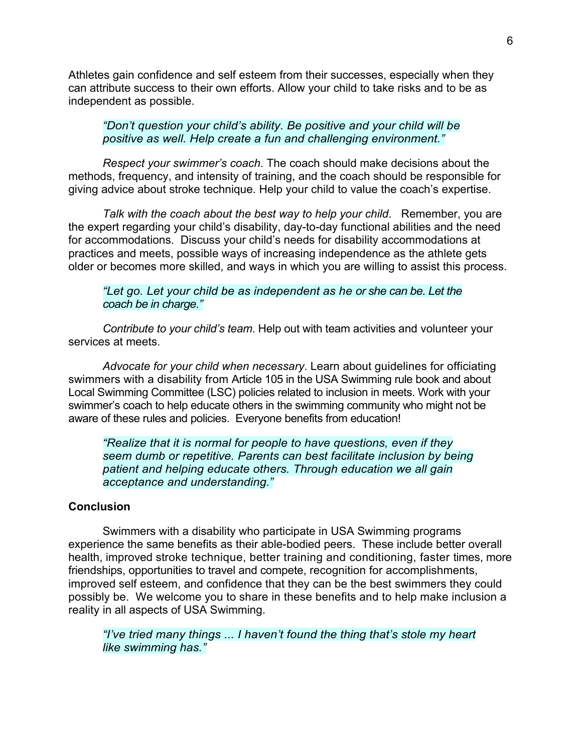Athletes gain confidence and self esteem from their successes, especially when they can attribute success to their own efforts. Allow your child to take risks and to be as independent as possible.

## *"Don't question your child's ability. Be positive and your child will be positive as well. Help create a fun and challenging environment."*

*Respect your swimmer's coach*. The coach should make decisions about the methods, frequency, and intensity of training, and the coach should be responsible for giving advice about stroke technique. Help your child to value the coach's expertise.

*Talk with the coach about the best way to help your child*. Remember, you are the expert regarding your child's disability, day-to-day functional abilities and the need for accommodations. Discuss your child's needs for disability accommodations at practices and meets, possible ways of increasing independence as the athlete gets older or becomes more skilled, and ways in which you are willing to assist this process.

### *"Let go. Let your child be as independent as he or she can be. Let the coach be in charge."*

*Contribute to your child's team*. Help out with team activities and volunteer your services at meets.

*Advocate for your child when necessary*. Learn about guidelines for officiating swimmers with a disability from Article 105 in the USA Swimming rule book and about Local Swimming Committee (LSC) policies related to inclusion in meets. Work with your swimmer's coach to help educate others in the swimming community who might not be aware of these rules and policies. Everyone benefits from education!

*"Realize that it is normal for people to have questions, even if they seem dumb or repetitive. Parents can best facilitate inclusion by being patient and helping educate others. Through education we all gain acceptance and understanding."* 

# **Conclusion**

Swimmers with a disability who participate in USA Swimming programs experience the same benefits as their able-bodied peers. These include better overall health, improved stroke technique, better training and conditioning, faster times, more friendships, opportunities to travel and compete, recognition for accomplishments, improved self esteem, and confidence that they can be the best swimmers they could possibly be. We welcome you to share in these benefits and to help make inclusion a reality in all aspects of USA Swimming.

*"I've tried many things ... I haven't found the thing that's stole my heart like swimming has."*